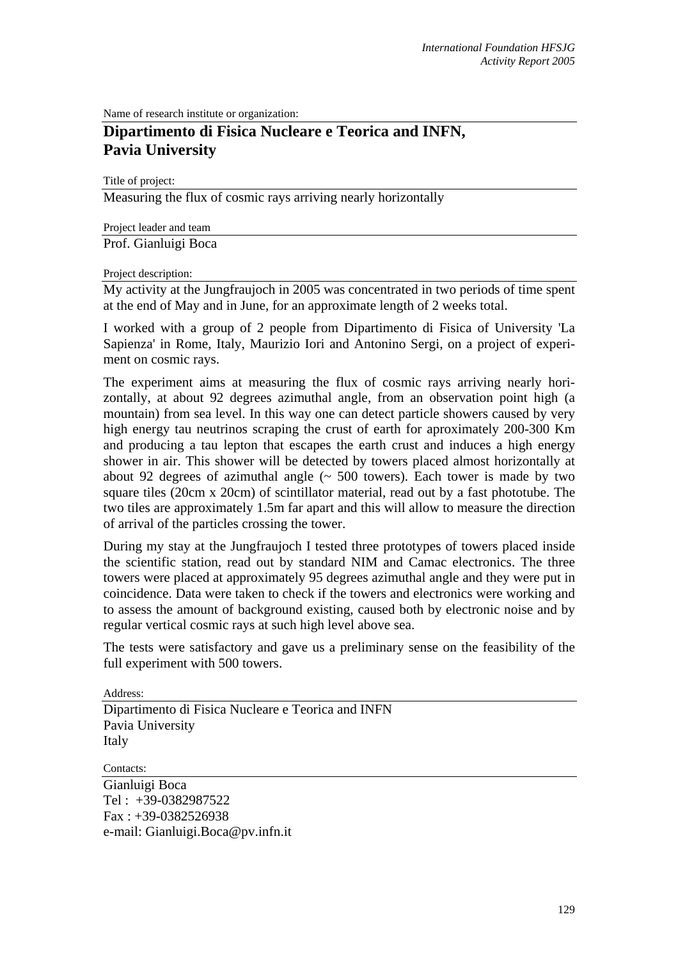Name of research institute or organization:

## **Dipartimento di Fisica Nucleare e Teorica and INFN, Pavia University**

Title of project:

Measuring the flux of cosmic rays arriving nearly horizontally

Project leader and team

Prof. Gianluigi Boca

## Project description:

My activity at the Jungfraujoch in 2005 was concentrated in two periods of time spent at the end of May and in June, for an approximate length of 2 weeks total.

I worked with a group of 2 people from Dipartimento di Fisica of University 'La Sapienza' in Rome, Italy, Maurizio Iori and Antonino Sergi, on a project of experiment on cosmic rays.

The experiment aims at measuring the flux of cosmic rays arriving nearly horizontally, at about 92 degrees azimuthal angle, from an observation point high (a mountain) from sea level. In this way one can detect particle showers caused by very high energy tau neutrinos scraping the crust of earth for aproximately 200-300 Km and producing a tau lepton that escapes the earth crust and induces a high energy shower in air. This shower will be detected by towers placed almost horizontally at about 92 degrees of azimuthal angle  $(\sim 500$  towers). Each tower is made by two square tiles (20cm x 20cm) of scintillator material, read out by a fast phototube. The two tiles are approximately 1.5m far apart and this will allow to measure the direction of arrival of the particles crossing the tower.

During my stay at the Jungfraujoch I tested three prototypes of towers placed inside the scientific station, read out by standard NIM and Camac electronics. The three towers were placed at approximately 95 degrees azimuthal angle and they were put in coincidence. Data were taken to check if the towers and electronics were working and to assess the amount of background existing, caused both by electronic noise and by regular vertical cosmic rays at such high level above sea.

The tests were satisfactory and gave us a preliminary sense on the feasibility of the full experiment with 500 towers.

Address:

Dipartimento di Fisica Nucleare e Teorica and INFN Pavia University Italy

Contacts:

Gianluigi Boca Tel : +39-0382987522 Fax : +39-0382526938 e-mail: Gianluigi.Boca@pv.infn.it